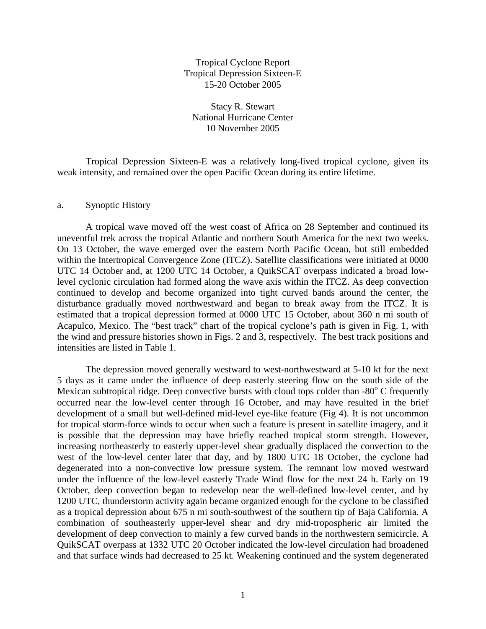Tropical Cyclone Report Tropical Depression Sixteen-E 15-20 October 2005

Stacy R. Stewart National Hurricane Center 10 November 2005

 Tropical Depression Sixteen-E was a relatively long-lived tropical cyclone, given its weak intensity, and remained over the open Pacific Ocean during its entire lifetime.

## a. Synoptic History

A tropical wave moved off the west coast of Africa on 28 September and continued its uneventful trek across the tropical Atlantic and northern South America for the next two weeks. On 13 October, the wave emerged over the eastern North Pacific Ocean, but still embedded within the Intertropical Convergence Zone (ITCZ). Satellite classifications were initiated at 0000 UTC 14 October and, at 1200 UTC 14 October, a QuikSCAT overpass indicated a broad lowlevel cyclonic circulation had formed along the wave axis within the ITCZ. As deep convection continued to develop and become organized into tight curved bands around the center, the disturbance gradually moved northwestward and began to break away from the ITCZ. It is estimated that a tropical depression formed at 0000 UTC 15 October, about 360 n mi south of Acapulco, Mexico. The "best track" chart of the tropical cyclone's path is given in Fig. 1, with the wind and pressure histories shown in Figs. 2 and 3, respectively. The best track positions and intensities are listed in Table 1.

The depression moved generally westward to west-northwestward at 5-10 kt for the next 5 days as it came under the influence of deep easterly steering flow on the south side of the Mexican subtropical ridge. Deep convective bursts with cloud tops colder than -80° C frequently occurred near the low-level center through 16 October, and may have resulted in the brief development of a small but well-defined mid-level eye-like feature (Fig 4). It is not uncommon for tropical storm-force winds to occur when such a feature is present in satellite imagery, and it is possible that the depression may have briefly reached tropical storm strength. However, increasing northeasterly to easterly upper-level shear gradually displaced the convection to the west of the low-level center later that day, and by 1800 UTC 18 October, the cyclone had degenerated into a non-convective low pressure system. The remnant low moved westward under the influence of the low-level easterly Trade Wind flow for the next 24 h. Early on 19 October, deep convection began to redevelop near the well-defined low-level center, and by 1200 UTC, thunderstorm activity again became organized enough for the cyclone to be classified as a tropical depression about 675 n mi south-southwest of the southern tip of Baja California. A combination of southeasterly upper-level shear and dry mid-tropospheric air limited the development of deep convection to mainly a few curved bands in the northwestern semicircle. A QuikSCAT overpass at 1332 UTC 20 October indicated the low-level circulation had broadened and that surface winds had decreased to 25 kt. Weakening continued and the system degenerated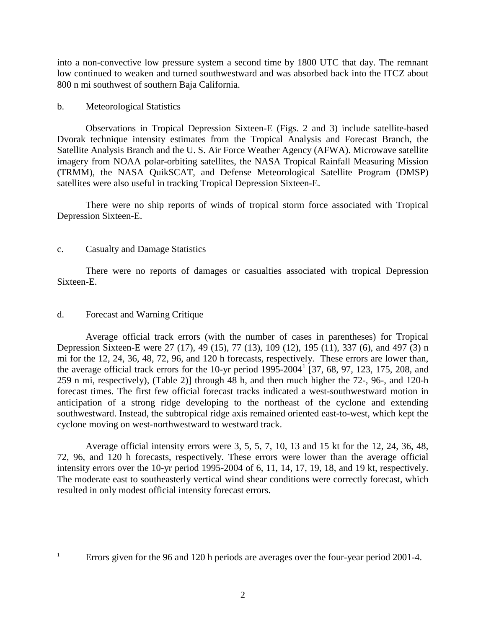into a non-convective low pressure system a second time by 1800 UTC that day. The remnant low continued to weaken and turned southwestward and was absorbed back into the ITCZ about 800 n mi southwest of southern Baja California.

## b. Meteorological Statistics

 Observations in Tropical Depression Sixteen-E (Figs. 2 and 3) include satellite-based Dvorak technique intensity estimates from the Tropical Analysis and Forecast Branch, the Satellite Analysis Branch and the U. S. Air Force Weather Agency (AFWA). Microwave satellite imagery from NOAA polar-orbiting satellites, the NASA Tropical Rainfall Measuring Mission (TRMM), the NASA QuikSCAT, and Defense Meteorological Satellite Program (DMSP) satellites were also useful in tracking Tropical Depression Sixteen-E.

 There were no ship reports of winds of tropical storm force associated with Tropical Depression Sixteen-E.

## c. Casualty and Damage Statistics

 There were no reports of damages or casualties associated with tropical Depression Sixteen-E.

## d. Forecast and Warning Critique

 Average official track errors (with the number of cases in parentheses) for Tropical Depression Sixteen-E were 27 (17), 49 (15), 77 (13), 109 (12), 195 (11), 337 (6), and 497 (3) n mi for the 12, 24, 36, 48, 72, 96, and 120 h forecasts, respectively. These errors are lower than, the average official track errors for the 10-yr period  $1995-2004^1$  [37, 68, 97, 123, 175, 208, and 259 n mi, respectively), (Table 2)] through 48 h, and then much higher the 72-, 96-, and 120-h forecast times. The first few official forecast tracks indicated a west-southwestward motion in anticipation of a strong ridge developing to the northeast of the cyclone and extending southwestward. Instead, the subtropical ridge axis remained oriented east-to-west, which kept the cyclone moving on west-northwestward to westward track.

 Average official intensity errors were 3, 5, 5, 7, 10, 13 and 15 kt for the 12, 24, 36, 48, 72, 96, and 120 h forecasts, respectively. These errors were lower than the average official intensity errors over the 10-yr period 1995-2004 of 6, 11, 14, 17, 19, 18, and 19 kt, respectively. The moderate east to southeasterly vertical wind shear conditions were correctly forecast, which resulted in only modest official intensity forecast errors.

 $\overline{a}$ 1

Errors given for the 96 and 120 h periods are averages over the four-year period 2001-4.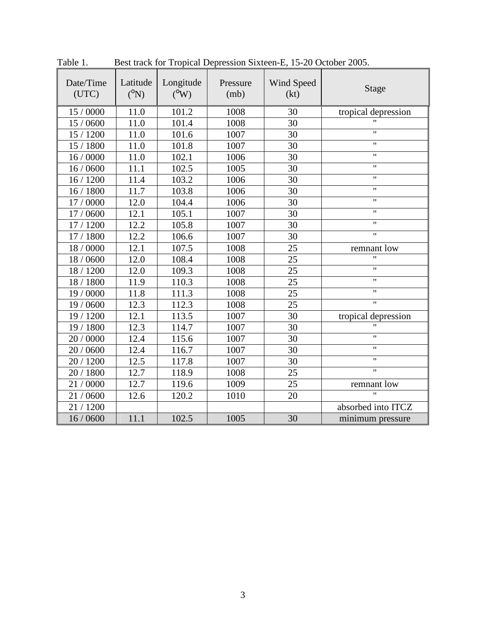| Date/Time<br>(UTC) | Latitude<br>$(^{0}N)$ | Longitude<br>$(^0$ W) | Pressure<br>(mb) | Wind Speed<br>(kt) | Stage               |  |
|--------------------|-----------------------|-----------------------|------------------|--------------------|---------------------|--|
| 15 / 0000          | 11.0                  | 101.2                 | 1008             | 30                 | tropical depression |  |
| 15 / 0600          | 11.0                  | 101.4                 | 1008             | 30                 |                     |  |
| 15 / 1200          | 11.0                  | 101.6                 | 1007             | 30                 | $^{\prime\prime}$   |  |
| 15 / 1800          | 11.0                  | 101.8                 | 1007             | 30                 | $\mathbf{H}$        |  |
| 16/0000            | 11.0                  | 102.1                 | 1006             | 30                 | $\mathbf{H}$        |  |
| 16/0600            | 11.1                  | 102.5                 | 1005             | 30                 | $\mathbf{H}$        |  |
| 16/1200            | 11.4                  | 103.2                 | 1006             | 30                 | 11                  |  |
| 16/1800            | 11.7                  | 103.8                 | 1006             | 30                 | $\mathbf{H}$        |  |
| 17 / 0000          | 12.0                  | 104.4                 | 1006             | 30                 | $\pmb{\mathsf{H}}$  |  |
| 17 / 0600          | 12.1                  | 105.1                 | 1007             | 30                 | $\pmb{\mathsf{H}}$  |  |
| 17 / 1200          | 12.2                  | 105.8                 | 1007             | 30                 | 11                  |  |
| 17 / 1800          | 12.2                  | 106.6                 | 1007             | 30                 | $\pmb{\mathsf{H}}$  |  |
| 18 / 0000          | 12.1                  | 107.5                 | 1008             | 25                 | remnant low         |  |
| 18 / 0600          | 12.0                  | 108.4                 | 1008             | 25                 | 11                  |  |
| 18 / 1200          | 12.0                  | 109.3                 | 1008             | 25                 | $^{\prime\prime}$   |  |
| 18 / 1800          | 11.9                  | 110.3                 | 1008             | 25                 | $^{\prime\prime}$   |  |
| 19 / 0000          | 11.8                  | 111.3                 | 1008             | 25                 | $\mathbf{H}$        |  |
| 19 / 0600          | 12.3                  | 112.3                 | 1008             | 25                 | $^{\prime\prime}$   |  |
| 19 / 1200          | 12.1                  | 113.5                 | 1007             | 30                 | tropical depression |  |
| 19 / 1800          | 12.3                  | 114.7                 | 1007             | 30                 | $\mathbf{H}$        |  |
| 20 / 0000          | 12.4                  | 115.6                 | 1007             | 30                 | $^{\prime\prime}$   |  |
| 20 / 0600          | 12.4                  | 116.7                 | 1007             | 30                 | $^{\prime\prime}$   |  |
| 20 / 1200          | 12.5                  | 117.8                 | 1007             | 30                 | $^{\prime\prime}$   |  |
| 20 / 1800          | 12.7                  | 118.9                 | 1008             | 25                 | $^{\prime\prime}$   |  |
| 21/0000            | 12.7                  | 119.6                 | 1009             | 25                 | remnant low         |  |
| 21/0600            | 12.6                  | 120.2                 | 1010             | 20                 | $^{\prime\prime}$   |  |
| 21/1200            |                       |                       |                  |                    | absorbed into ITCZ  |  |
| 16/0600            | 11.1                  | 102.5                 | 1005             | 30                 | minimum pressure    |  |

Table 1. Best track for Tropical Depression Sixteen-E, 15-20 October 2005.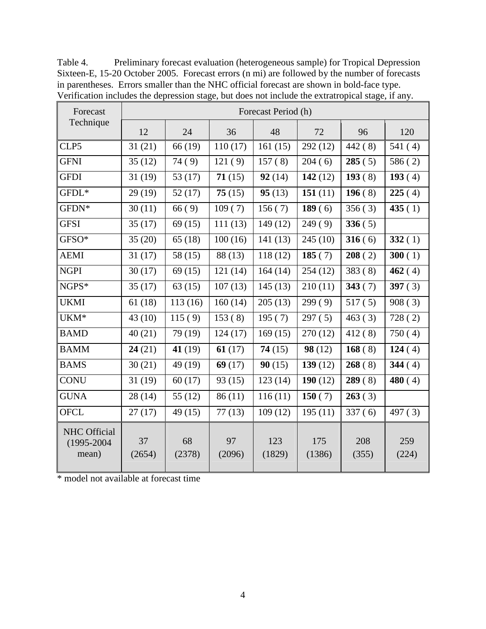| Forecast                                        | Forecast Period (h) |              |              |               |               |              |              |  |  |
|-------------------------------------------------|---------------------|--------------|--------------|---------------|---------------|--------------|--------------|--|--|
| Technique                                       | 12                  | 24           | 36           | 48            | 72            | 96           | 120          |  |  |
| CLP5                                            | 31(21)              | 66 (19)      | 110(17)      | 161(15)       | 292(12)       | 442(8)       | 541(4)       |  |  |
| <b>GFNI</b>                                     | 35(12)              | 74(9)        | 121(9)       | 157(8)        | 204(6)        | 285(5)       | 586(2)       |  |  |
| <b>GFDI</b>                                     | 31(19)              | 53 $(17)$    | 71(15)       | 92(14)        | 142 $(12)$    | 193(8)       | 193(4)       |  |  |
| GFDL*                                           | 29(19)              | 52(17)       | 75(15)       | 95(13)        | 151 $(11)$    | 196(8)       | 225(4)       |  |  |
| GFDN*                                           | 30(11)              | 66(9)        | 109(7)       | 156(7)        | 189(6)        | 356(3)       | 435 $(1)$    |  |  |
| <b>GFSI</b>                                     | 35(17)              | 69(15)       | 111(13)      | 149(12)       | 249(9)        | 336(5)       |              |  |  |
| GFSO*                                           | 35(20)              | 65(18)       | 100(16)      | 141(13)       | 245(10)       | 316(6)       | 332(1)       |  |  |
| <b>AEMI</b>                                     | 31(17)              | 58(15)       | 88 (13)      | 118(12)       | 185 $(7)$     | 208(2)       | 300(1)       |  |  |
| <b>NGPI</b>                                     | 30(17)              | 69(15)       | 121(14)      | 164(14)       | 254(12)       | 383(8)       | 462(4)       |  |  |
| NGPS*                                           | 35(17)              | 63(15)       | 107(13)      | 145(13)       | 210(11)       | 343(7)       | 397 $(3)$    |  |  |
| <b>UKMI</b>                                     | 61(18)              | 113(16)      | 160(14)      | 205(13)       | 299(9)        | 517(5)       | 908(3)       |  |  |
| UKM <sup>*</sup>                                | 43(10)              | 115(9)       | 153(8)       | 195(7)        | 297(5)        | 463(3)       | 728(2)       |  |  |
| <b>BAMD</b>                                     | 40(21)              | 79 (19)      | 124(17)      | 169(15)       | 270(12)       | 412(8)       | 750(4)       |  |  |
| <b>BAMM</b>                                     | 24(21)              | 41 $(19)$    | 61(17)       | 74(15)        | 98(12)        | 168(8)       | 124(4)       |  |  |
| <b>BAMS</b>                                     | 30(21)              | 49 (19)      | 69(17)       | 90(15)        | 139(12)       | 268(8)       | 344 $(4)$    |  |  |
| <b>CONU</b>                                     | 31(19)              | 60(17)       | 93(15)       | 123(14)       | 190 $(12)$    | 289(8)       | 480 $(4)$    |  |  |
| <b>GUNA</b>                                     | 28(14)              | 55(12)       | 86(11)       | 116(11)       | 150 $(7)$     | 263(3)       |              |  |  |
| <b>OFCL</b>                                     | 27(17)              | 49 (15)      | 77(13)       | 109(12)       | 195(11)       | 337(6)       | 497(3)       |  |  |
| <b>NHC Official</b><br>$(1995 - 2004)$<br>mean) | 37<br>(2654)        | 68<br>(2378) | 97<br>(2096) | 123<br>(1829) | 175<br>(1386) | 208<br>(355) | 259<br>(224) |  |  |

Table 4. Preliminary forecast evaluation (heterogeneous sample) for Tropical Depression Sixteen-E, 15-20 October 2005. Forecast errors (n mi) are followed by the number of forecasts in parentheses. Errors smaller than the NHC official forecast are shown in bold-face type. Verification includes the depression stage, but does not include the extratropical stage, if any.

\* model not available at forecast time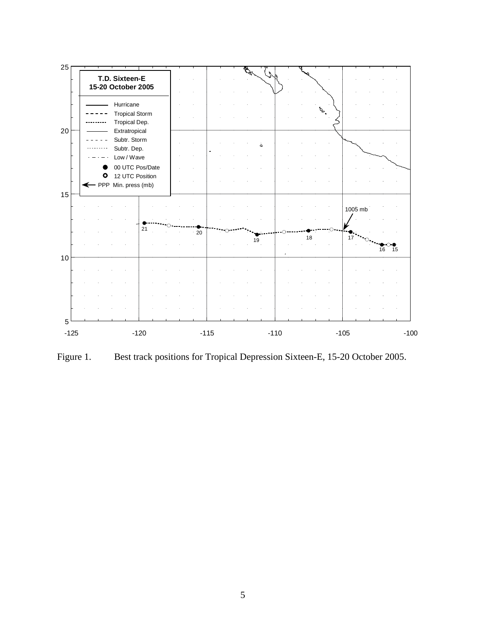

Figure 1. Best track positions for Tropical Depression Sixteen-E, 15-20 October 2005.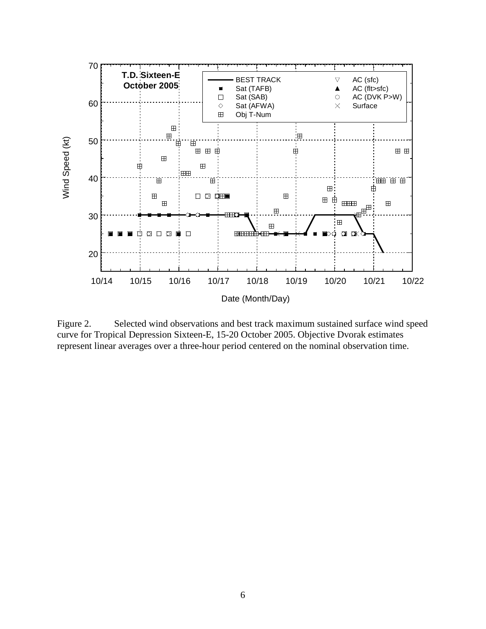

Figure 2. Selected wind observations and best track maximum sustained surface wind speed curve for Tropical Depression Sixteen-E, 15-20 October 2005. Objective Dvorak estimates represent linear averages over a three-hour period centered on the nominal observation time.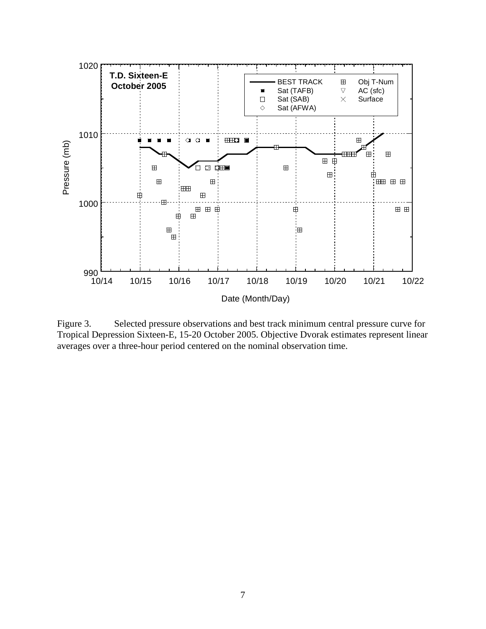

Figure 3. Selected pressure observations and best track minimum central pressure curve for Tropical Depression Sixteen-E, 15-20 October 2005. Objective Dvorak estimates represent linear averages over a three-hour period centered on the nominal observation time.